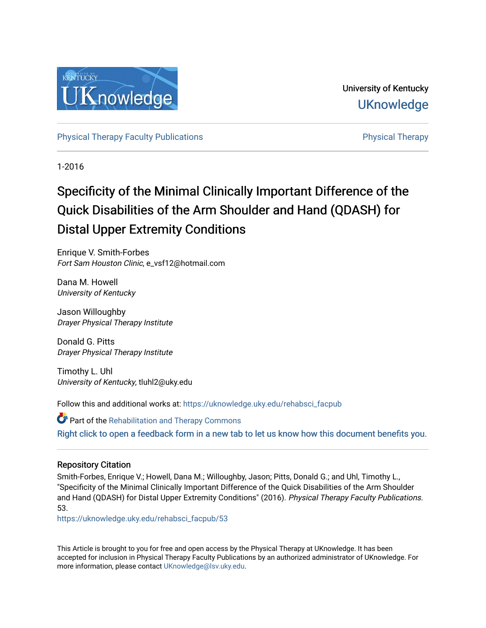

University of Kentucky **UKnowledge** 

[Physical Therapy Faculty Publications](https://uknowledge.uky.edu/rehabsci_facpub) **Physical Therapy** Physical Therapy

1-2016

# Specificity of the Minimal Clinically Important Difference of the Quick Disabilities of the Arm Shoulder and Hand (QDASH) for Distal Upper Extremity Conditions

Enrique V. Smith-Forbes Fort Sam Houston Clinic, e\_vsf12@hotmail.com

Dana M. Howell University of Kentucky

Jason Willoughby Drayer Physical Therapy Institute

Donald G. Pitts Drayer Physical Therapy Institute

Timothy L. Uhl University of Kentucky, tluhl2@uky.edu

Follow this and additional works at: [https://uknowledge.uky.edu/rehabsci\\_facpub](https://uknowledge.uky.edu/rehabsci_facpub?utm_source=uknowledge.uky.edu%2Frehabsci_facpub%2F53&utm_medium=PDF&utm_campaign=PDFCoverPages) 

**C** Part of the Rehabilitation and Therapy Commons [Right click to open a feedback form in a new tab to let us know how this document benefits you.](https://uky.az1.qualtrics.com/jfe/form/SV_9mq8fx2GnONRfz7)

### Repository Citation

Smith-Forbes, Enrique V.; Howell, Dana M.; Willoughby, Jason; Pitts, Donald G.; and Uhl, Timothy L., "Specificity of the Minimal Clinically Important Difference of the Quick Disabilities of the Arm Shoulder and Hand (QDASH) for Distal Upper Extremity Conditions" (2016). Physical Therapy Faculty Publications. 53.

[https://uknowledge.uky.edu/rehabsci\\_facpub/53](https://uknowledge.uky.edu/rehabsci_facpub/53?utm_source=uknowledge.uky.edu%2Frehabsci_facpub%2F53&utm_medium=PDF&utm_campaign=PDFCoverPages)

This Article is brought to you for free and open access by the Physical Therapy at UKnowledge. It has been accepted for inclusion in Physical Therapy Faculty Publications by an authorized administrator of UKnowledge. For more information, please contact [UKnowledge@lsv.uky.edu](mailto:UKnowledge@lsv.uky.edu).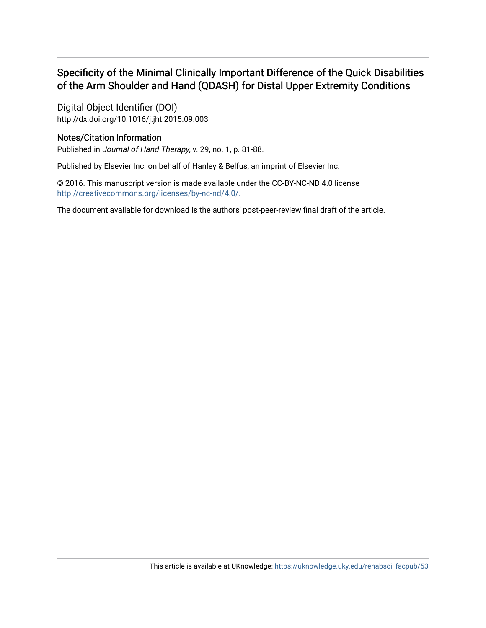# Specificity of the Minimal Clinically Important Difference of the Quick Disabilities of the Arm Shoulder and Hand (QDASH) for Distal Upper Extremity Conditions

Digital Object Identifier (DOI) http://dx.doi.org/10.1016/j.jht.2015.09.003

### Notes/Citation Information

Published in Journal of Hand Therapy, v. 29, no. 1, p. 81-88.

Published by Elsevier Inc. on behalf of Hanley & Belfus, an imprint of Elsevier Inc.

© 2016. This manuscript version is made available under the CC-BY-NC-ND 4.0 license [http://creativecommons.org/licenses/by-nc-nd/4.0/.](http://creativecommons.org/licenses/by-nc-nd/4.0/) 

The document available for download is the authors' post-peer-review final draft of the article.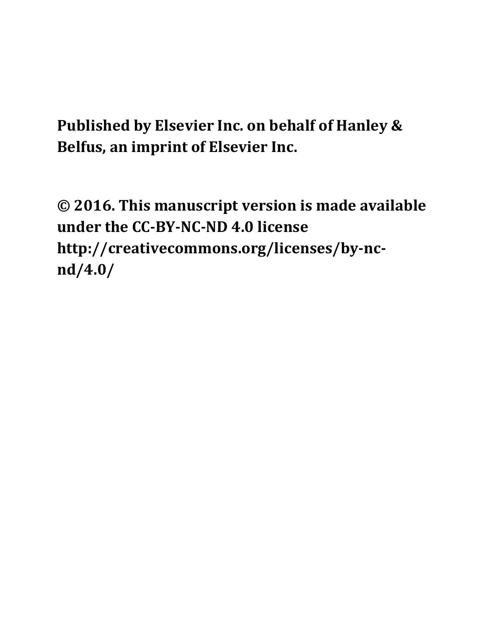**Published by Elsevier Inc. on behalf of Hanley & Belfus, an imprint of Elsevier Inc.**

**© 2016. This manuscript version is made available under the CC‐BY‐NC‐ND 4.0 license http://creativecommons.org/licenses/by‐nc‐ nd/4.0/**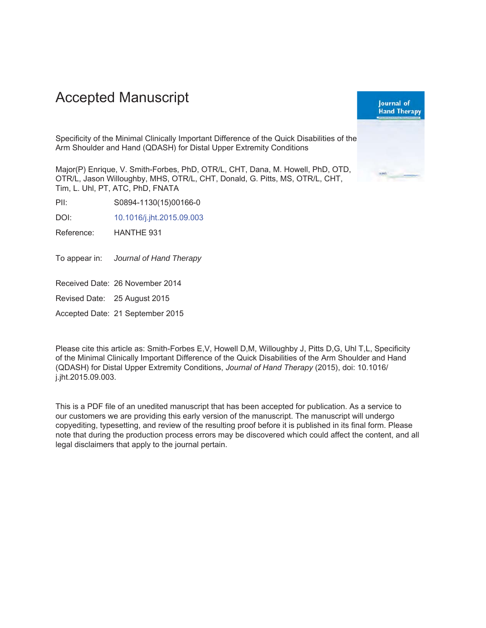# **Accepted Manuscript**



Specificity of the Minimal Clinically Important Difference of the Quick Disabilities of the Arm Shoulder and Hand (QDASH) for Distal Upper Extremity Conditions

Major(P) Enrique, V. Smith-Forbes, PhD, OTR/L, CHT, Dana, M. Howell, PhD, OTD, OTR/L, Jason Willoughby, MHS, OTR/L, CHT, Donald, G. Pitts, MS, OTR/L, CHT, Tim, L. Uhl, PT, ATC, PhD, FNATA

 $P|| \cdot$ S0894-1130(15)00166-0

DOI: 10.1016/j.jht.2015.09.003

Reference: HANTHE 931

To appear in: Journal of Hand Therapy

Received Date: 26 November 2014

Revised Date: 25 August 2015

Accepted Date: 21 September 2015

Please cite this article as: Smith-Forbes E,V, Howell D,M, Willoughby J, Pitts D,G, Uhl T,L, Specificity of the Minimal Clinically Important Difference of the Quick Disabilities of the Arm Shoulder and Hand (QDASH) for Distal Upper Extremity Conditions, Journal of Hand Therapy (2015), doi: 10.1016/ j.jht.2015.09.003.

This is a PDF file of an unedited manuscript that has been accepted for publication. As a service to our customers we are providing this early version of the manuscript. The manuscript will undergo copyediting, typesetting, and review of the resulting proof before it is published in its final form. Please note that during the production process errors may be discovered which could affect the content, and all legal disclaimers that apply to the journal pertain.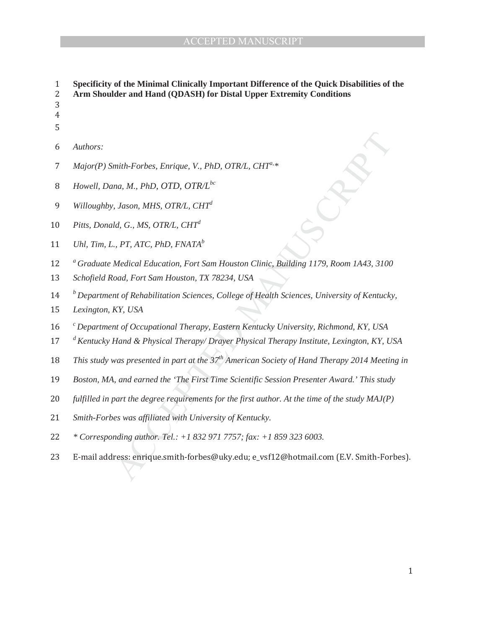R/L, CHT<sup>a, \*</sup><br>
ston Clinic, Building 1179, Room 1A43, 3100<br>
USA<br>
ge of Health Sciences, University of Kentucky nt of Occupational Therapy, Eastern K<br>Hand & Physical Therapy/ Drayer Phy<br>was presented in part at the 37<sup>th</sup> Ameri<br>was presented in part at the 37<sup>th</sup> Ameri<br>was presented in part at the 37<sup>th</sup> Ameri<br>was presented the 'The ͳ **Specificity of the Minimal Clinically Important Difference of the Quick Disabilities of the**  ʹ **Arm Shoulder and Hand (QDASH) for Distal Upper Extremity Conditions**  ͵ Ͷ ͷ *Authors: Major(P) Smith-Forbes, Enrique, V., PhD, OTR/L, CHT<sup>a, \*</sup> Howell, Dana, M., PhD, OTD, OTR/L*<sup>bc</sup> *9 Willoughby, Jason, MHS, OTR/L, CHT<sup>d</sup>*  $10$  *Pitts, Donald, G., MS, OTR/L, CHT*<sup>d</sup> 11 *Uhl, Tim, L., PT, ATC, PhD, FNATA*<sup>b</sup> **12** *a*<sup>*a*</sup> *Graduate Medical Education, Fort Sam Houston Clinic, Building 1179, Room 1A43, 3100* 13 *Schofield Road, Fort Sam Houston, TX 78234, USA <sup>b</sup>*ͳͶ *Department of Rehabilitation Sciences, College of Health Sciences, University of Kentucky,*  15 *Lexington, KY, USA <sup>c</sup>*ͳ *Department of Occupational Therapy, Eastern Kentucky University, Richmond, KY, USA*  <sup>d</sup> *Kentucky Hand & Physical Therapy/ Drayer Physical Therapy Institute, Lexington, KY, USA This study was presented in part at the 37<sup>th</sup> American Society of Hand Therapy 2014 Meeting in* 19 *Boston, MA, and earned the 'The First Time Scientific Session Presenter Award.' This study* 20 *fulfilled in part the degree requirements for the first author. At the time of the study MAJ(P)* 21 Smith-Forbes was affiliated with University of Kentucky. ʹʹ *\* Corresponding author. Tel.: +1 832 971 7757; fax: +1 859 323 6003.*  23 E-mail address: enrique.smith-forbes@uky.edu; e\_vsf12@hotmail.com (E.V. Smith-Forbes).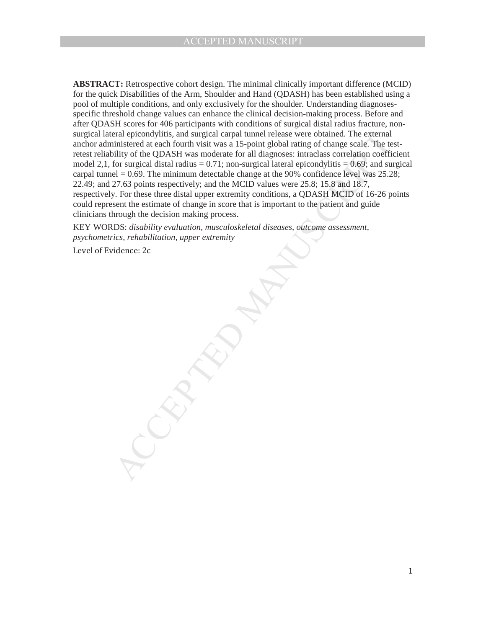and pricondylitis, and surgical caparal tunnel release were obtained. The external encoded in entantial condition of the external distanting of the pDASH was moderate for all diagnoses: intraclass correlation coefficiently **ABSTRACT:** Retrospective cohort design. The minimal clinically important difference (MCID) for the quick Disabilities of the Arm, Shoulder and Hand (QDASH) has been established using a pool of multiple conditions, and only exclusively for the shoulder. Understanding diagnosesspecific threshold change values can enhance the clinical decision-making process. Before and after QDASH scores for 406 participants with conditions of surgical distal radius fracture, nonsurgical lateral epicondylitis, and surgical carpal tunnel release were obtained. The external anchor administered at each fourth visit was a 15-point global rating of change scale. The testretest reliability of the QDASH was moderate for all diagnoses: intraclass correlation coefficient model 2,1, for surgical distal radius  $= 0.71$ ; non-surgical lateral epicondylitis  $= 0.69$ ; and surgical carpal tunnel  $= 0.69$ . The minimum detectable change at the 90% confidence level was 25.28; 22.49; and 27.63 points respectively; and the MCID values were 25.8; 15.8 and 18.7, respectively. For these three distal upper extremity conditions, a QDASH MCID of 16-26 points could represent the estimate of change in score that is important to the patient and guide clinicians through the decision making process.

KEY WORDS: *disability evaluation, musculoskeletal diseases, outcome assessment, psychometrics, rehabilitation, upper extremity*

Level of Evidence: 2c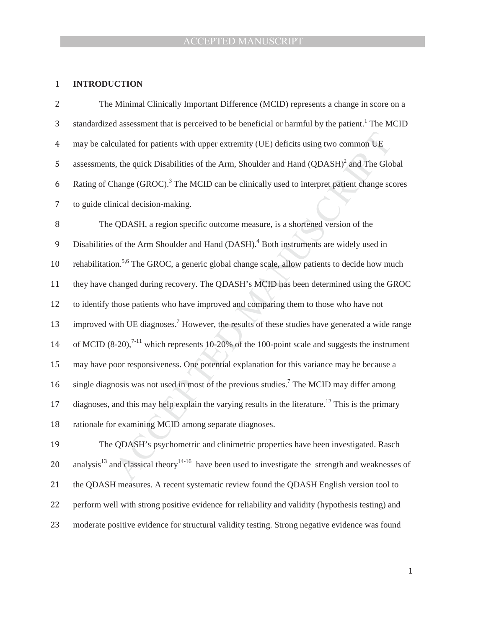### 1 **INTRODUCTION**

| 2  | The Minimal Clinically Important Difference (MCID) represents a change in score on a                                      |
|----|---------------------------------------------------------------------------------------------------------------------------|
| 3  | standardized assessment that is perceived to be beneficial or harmful by the patient. <sup>1</sup> The MCID               |
| 4  | may be calculated for patients with upper extremity (UE) deficits using two common UE                                     |
| 5  | assessments, the quick Disabilities of the Arm, Shoulder and Hand (QDASH) <sup>2</sup> and The Global                     |
| 6  | Rating of Change (GROC). <sup>3</sup> The MCID can be clinically used to interpret patient change scores                  |
| 7  | to guide clinical decision-making.                                                                                        |
| 8  | The QDASH, a region specific outcome measure, is a shortened version of the                                               |
| 9  | Disabilities of the Arm Shoulder and Hand (DASH). <sup>4</sup> Both instruments are widely used in                        |
| 10 | rehabilitation. <sup>5,6</sup> The GROC, a generic global change scale, allow patients to decide how much                 |
| 11 | they have changed during recovery. The QDASH's MCID has been determined using the GROC                                    |
| 12 | to identify those patients who have improved and comparing them to those who have not                                     |
| 13 | improved with UE diagnoses. <sup>7</sup> However, the results of these studies have generated a wide range                |
| 14 | of MCID $(8-20)$ , <sup>7-11</sup> which represents 10-20% of the 100-point scale and suggests the instrument             |
| 15 | may have poor responsiveness. One potential explanation for this variance may be because a                                |
| 16 | single diagnosis was not used in most of the previous studies. <sup>7</sup> The MCID may differ among                     |
| 17 | diagnoses, and this may help explain the varying results in the literature. <sup>12</sup> This is the primary             |
| 18 | rationale for examining MCID among separate diagnoses.                                                                    |
| 19 | The QDASH's psychometric and clinimetric properties have been investigated. Rasch                                         |
| 20 | analysis <sup>13</sup> and classical theory <sup>14-16</sup> have been used to investigate the strength and weaknesses of |
|    |                                                                                                                           |

21 the QDASH measures. A recent systematic review found the QDASH English version tool to 22 perform well with strong positive evidence for reliability and validity (hypothesis testing) and

23 moderate positive evidence for structural validity testing. Strong negative evidence was found

 $\,1\,$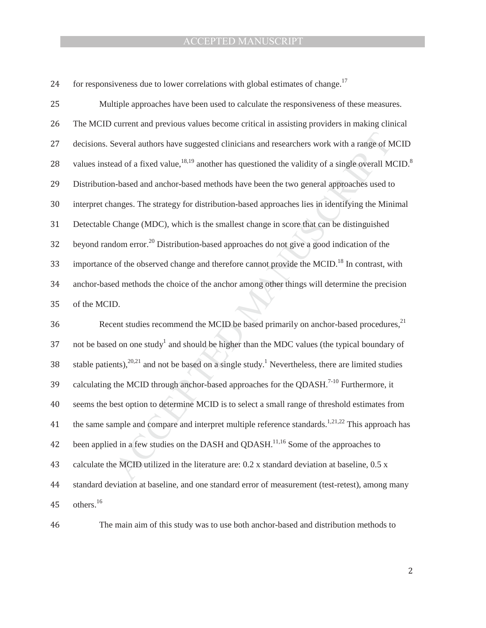for responsiveness due to lower correlations with global estimates of change.<sup>17</sup>

icians and researchers work with a range of M<br>s questioned the validity of a single overall M<br>have been the two general approaches used to<br>-based approaches lies in identifying the Min<br>est change in score that can be disti ent studies recommend the MCID be b<br>d on one study<sup>1</sup> and should be higher t<br>nts),<sup>20,21</sup> and not be based on a single s<br>the MCID through anchor-based appro<br>nest option to determine MCID is to sel<br>mple and compare and int 25 Multiple approaches have been used to calculate the responsiveness of these measures. 26 The MCID current and previous values become critical in assisting providers in making clinical 27 decisions. Several authors have suggested clinicians and researchers work with a range of MCID 28 values instead of a fixed value,<sup>18,19</sup> another has questioned the validity of a single overall MCID.<sup>8</sup> 29 Distribution-based and anchor-based methods have been the two general approaches used to 30 interpret changes. The strategy for distribution-based approaches lies in identifying the Minimal ͵ͳ Detectable Change (MDC), which is the smallest change in score that can be distinguished  $32$  beyond random error.<sup>20</sup> Distribution-based approaches do not give a good indication of the 33 importance of the observed change and therefore cannot provide the MCID.<sup>18</sup> In contrast, with ͵Ͷ anchor-based methods the choice of the anchor among other things will determine the precision 35 of the MCID. 36 Recent studies recommend the MCID be based primarily on anchor-based procedures,<sup>21</sup> 37 not be based on one study<sup>1</sup> and should be higher than the MDC values (the typical boundary of 38 stable patients),<sup>20,21</sup> and not be based on a single study.<sup>1</sup> Nevertheless, there are limited studies 39 calculating the MCID through anchor-based approaches for the QDASH.<sup>7-10</sup> Furthermore, it ͶͲ seems the best option to determine MCID is to select a small range of threshold estimates from the same sample and compare and interpret multiple reference standards.<sup>1,21,22</sup> This approach has

been applied in a few studies on the DASH and QDASH.<sup>11,16</sup> Some of the approaches to

Ͷ͵ calculate the MCID utilized in the literature are: 0.2 x standard deviation at baseline, 0.5 x

ͶͶ standard deviation at baseline, and one standard error of measurement (test-retest), among many  $45$  others.<sup>16</sup>

A The main aim of this study was to use both anchor-based and distribution methods to

 $\mathbf{2}$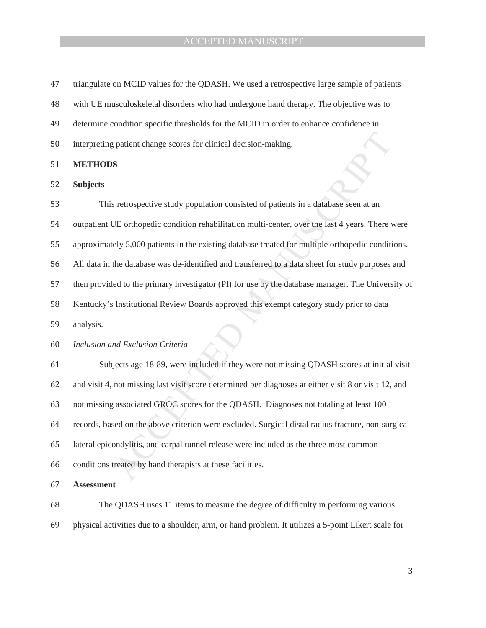| 47 | triangulate on MCID values for the QDASH. We used a retrospective large sample of patients            |
|----|-------------------------------------------------------------------------------------------------------|
| 48 | with UE musculoskeletal disorders who had undergone hand therapy. The objective was to                |
| 49 | determine condition specific thresholds for the MCID in order to enhance confidence in                |
| 50 | interpreting patient change scores for clinical decision-making.                                      |
| 51 | <b>METHODS</b>                                                                                        |
| 52 | <b>Subjects</b>                                                                                       |
| 53 | This retrospective study population consisted of patients in a database seen at an                    |
| 54 | outpatient UE orthopedic condition rehabilitation multi-center, over the last 4 years. There were     |
| 55 | approximately 5,000 patients in the existing database treated for multiple orthopedic conditions.     |
| 56 | All data in the database was de-identified and transferred to a data sheet for study purposes and     |
| 57 | then provided to the primary investigator (PI) for use by the database manager. The University of     |
| 58 | Kentucky's Institutional Review Boards approved this exempt category study prior to data              |
| 59 | analysis.                                                                                             |
| 60 | Inclusion and Exclusion Criteria                                                                      |
| 61 | Subjects age 18-89, were included if they were not missing QDASH scores at initial visit              |
| 62 | and visit 4, not missing last visit score determined per diagnoses at either visit 8 or visit 12, and |
| 63 | not missing associated GROC scores for the QDASH. Diagnoses not totaling at least 100                 |
| 64 | records, based on the above criterion were excluded. Surgical distal radius fracture, non-surgical    |
| 65 | lateral epicondylitis, and carpal tunnel release were included as the three most common               |
| 66 | conditions treated by hand therapists at these facilities.                                            |
| 67 | <b>Assessment</b>                                                                                     |
| 68 | The QDASH uses 11 items to measure the degree of difficulty in performing various                     |
| 69 | physical activities due to a shoulder, arm, or hand problem. It utilizes a 5-point Likert scale for   |

͵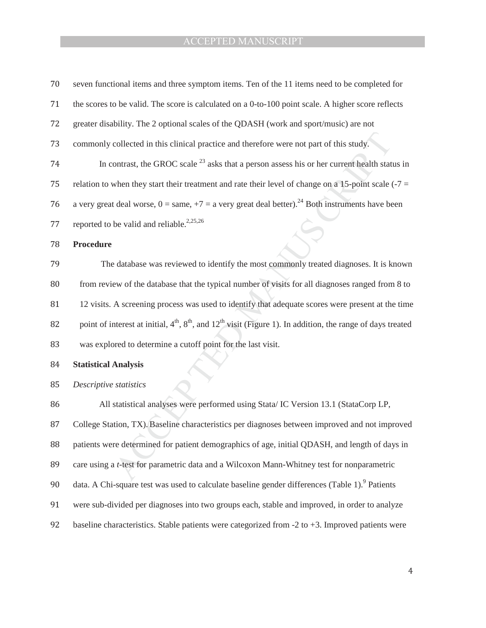| 70 | seven functional items and three symptom items. Ten of the 11 items need to be completed for                                |
|----|-----------------------------------------------------------------------------------------------------------------------------|
| 71 | the scores to be valid. The score is calculated on a 0-to-100 point scale. A higher score reflects                          |
| 72 | greater disability. The 2 optional scales of the QDASH (work and sport/music) are not                                       |
| 73 | commonly collected in this clinical practice and therefore were not part of this study.                                     |
| 74 | In contrast, the GROC scale $^{23}$ asks that a person assess his or her current health status in                           |
| 75 | relation to when they start their treatment and rate their level of change on a 15-point scale $( -7 =$                     |
| 76 | a very great deal worse, $0 = \text{same}, +7 = \text{a}$ very great deal better). <sup>24</sup> Both instruments have been |
| 77 | reported to be valid and reliable. <sup>2,25,26</sup>                                                                       |
| 78 | <b>Procedure</b>                                                                                                            |
| 79 | The database was reviewed to identify the most commonly treated diagnoses. It is known                                      |
| 80 | from review of the database that the typical number of visits for all diagnoses ranged from 8 to                            |
| 81 | 12 visits. A screening process was used to identify that adequate scores were present at the time                           |
| 82 | point of interest at initial, $4th$ , $8th$ , and $12th$ visit (Figure 1). In addition, the range of days treated           |
| 83 | was explored to determine a cutoff point for the last visit.                                                                |
| 84 | <b>Statistical Analysis</b>                                                                                                 |
| 85 | Descriptive statistics                                                                                                      |
| 86 | All statistical analyses were performed using Stata/IC Version 13.1 (StataCorp LP,                                          |
| 87 | College Station, TX). Baseline characteristics per diagnoses between improved and not improved                              |
| 88 | patients were determined for patient demographics of age, initial QDASH, and length of days in                              |
| 89 | care using a <i>t</i> -test for parametric data and a Wilcoxon Mann-Whitney test for nonparametric                          |
| 90 | data. A Chi-square test was used to calculate baseline gender differences (Table 1). <sup>9</sup> Patients                  |
| 91 | were sub-divided per diagnoses into two groups each, stable and improved, in order to analyze                               |
| 92 | baseline characteristics. Stable patients were categorized from $-2$ to $+3$ . Improved patients were                       |

Ͷ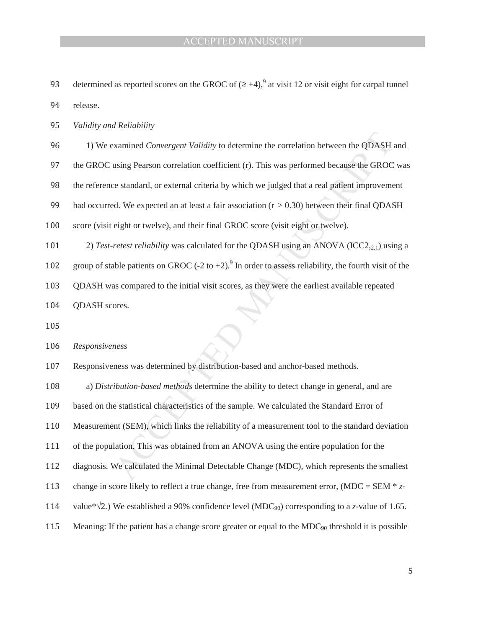93 determined as reported scores on the GROC of  $(\geq +4)$ ,<sup>9</sup> at visit 12 or visit eight for carpal tunnel

94 release.

95 *Validity and Reliability* 

ͻ 1) We examined *Convergent Validity* to determine the correlation between the QDASH and

97 the GROC using Pearson correlation coefficient (r). This was performed because the GROC was

98 the reference standard, or external criteria by which we judged that a real patient improvement

99 had occurred. We expected an at least a fair association  $(r > 0.30)$  between their final QDASH

100 score (visit eight or twelve), and their final GROC score (visit eight or twelve).

termine the correlation between the QDASH<br>nt (r). This was performed because the GROC<br>which we judged that a real patient improvems<br>sociation (r > 0.30) between their final QDA:<br>COC score (visit eight or twelve).<br>the QDAS 101 2) *Test-retest reliability* was calculated for the QDASH using an ANOVA (ICC2, $_{2,1}$ ) using a

102 group of stable patients on GROC (-2 to +2).<sup>9</sup> In order to assess reliability, the fourth visit of the

103 QDASH was compared to the initial visit scores, as they were the earliest available repeated

104 ODASH scores.

105

ͳͲ *Responsiveness* 

ness<br>
ness was determined by distribution-bi<br>
ibution-based methods determine the a<br>
e statistical characteristics of the samp<br>
ent (SEM), which links the reliability of<br>
lation. This was obtained from an ANC<br>
We calculate 107 Responsiveness was determined by distribution-based and anchor-based methods.

I08 a) *Distribution-based methods* determine the ability to detect change in general, and are

109 based on the statistical characteristics of the sample. We calculated the Standard Error of

110 Measurement (SEM), which links the reliability of a measurement tool to the standard deviation

Text of the population. This was obtained from an ANOVA using the entire population for the

112 diagnosis. We calculated the Minimal Detectable Change (MDC), which represents the smallest

113 change in score likely to reflect a true change, free from measurement error,  $(MDC = SEM * z$ -

- 114 value\* $\sqrt{2}$ .) We established a 90% confidence level (MDC<sub>90</sub>) corresponding to a *z*-value of 1.65.
- 115 Meaning: If the patient has a change score greater or equal to the  $MDC_{90}$  threshold it is possible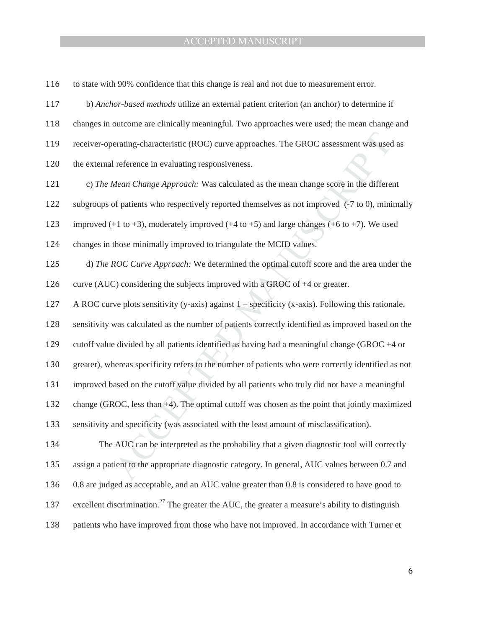116 to state with 90% confidence that this change is real and not due to measurement error. ͳͳ b) *Anchor-based methods* utilize an external patient criterion (an anchor) to determine if

118 changes in outcome are clinically meaningful. Two approaches were used; the mean change and

119 receiver-operating-characteristic (ROC) curve approaches. The GROC assessment was used as

120 the external reference in evaluating responsiveness.

ͳʹͳ c) *The Mean Change Approach:* Was calculated as the mean change score in the different

122 subgroups of patients who respectively reported themselves as not improved (-7 to 0), minimally

123 improved  $(+1 \text{ to } +3)$ , moderately improved  $(+4 \text{ to } +5)$  and large changes  $(+6 \text{ to } +7)$ . We used

124 changes in those minimally improved to triangulate the MCID values.

approaches. The GROC assessment was used<br>ness.<br>lated as the mean change score in the different<br>d themselves as not improved  $(-7 \text{ to } 0)$ , mini<br>4 to +5) and large changes  $(+6 \text{ to } +7)$ . We use<br>ulate the MCID values.<br>ned the 125 d) *The ROC Curve Approach:* We determined the optimal cutoff score and the area under the

126 curve (AUC) considering the subjects improved with a GROC of  $+4$  or greater.

127 A ROC curve plots sensitivity (y-axis) against 1 – specificity (x-axis). Following this rationale,

128 sensitivity was calculated as the number of patients correctly identified as improved based on the

129 cutoff value divided by all patients identified as having had a meaningful change (GROC +4 or

130 greater), whereas specificity refers to the number of patients who were correctly identified as not

131 improved based on the cutoff value divided by all patients who truly did not have a meaningful

132 change (GROC, less than +4). The optimal cutoff was chosen as the point that jointly maximized

133 sensitivity and specificity (was associated with the least amount of misclassification).

was calculated as the number of patient<br>
Exercise divided by all patients identified as h<br>
nereas specificity refers to the number<br>
ased on the cutoff value divided by all<br>
ROC, less than +4). The optimal cutoff<br>
and speci 134 The AUC can be interpreted as the probability that a given diagnostic tool will correctly 135 assign a patient to the appropriate diagnostic category. In general, AUC values between 0.7 and 136 0.8 are judged as acceptable, and an AUC value greater than 0.8 is considered to have good to 137 excellent discrimination.<sup>27</sup> The greater the AUC, the greater a measure's ability to distinguish 138 patients who have improved from those who have not improved. In accordance with Turner et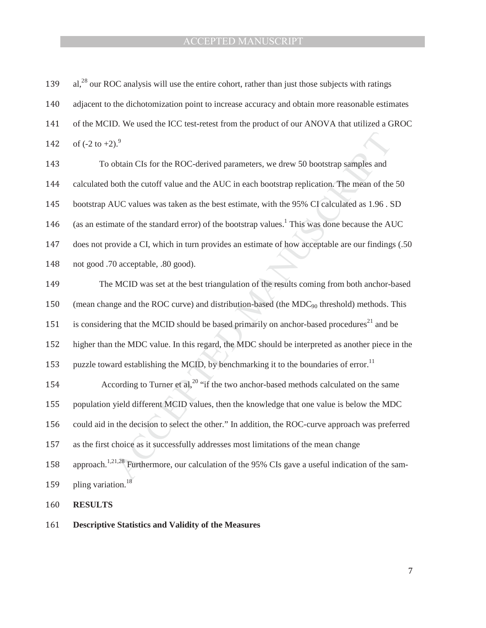| 139 | al, <sup>28</sup> our ROC analysis will use the entire cohort, rather than just those subjects with ratings   |
|-----|---------------------------------------------------------------------------------------------------------------|
| 140 | adjacent to the dichotomization point to increase accuracy and obtain more reasonable estimates               |
| 141 | of the MCID. We used the ICC test-retest from the product of our ANOVA that utilized a GROC                   |
| 142 | of $(-2 \text{ to } +2)$ . <sup>9</sup>                                                                       |
| 143 | To obtain CIs for the ROC-derived parameters, we drew 50 bootstrap samples and                                |
| 144 | calculated both the cutoff value and the AUC in each bootstrap replication. The mean of the 50                |
| 145 | bootstrap AUC values was taken as the best estimate, with the 95% CI calculated as 1.96. SD                   |
| 146 | (as an estimate of the standard error) of the bootstrap values. <sup>1</sup> This was done because the AUC    |
| 147 | does not provide a CI, which in turn provides an estimate of how acceptable are our findings (.50             |
| 148 | not good .70 acceptable, .80 good).                                                                           |
| 149 | The MCID was set at the best triangulation of the results coming from both anchor-based                       |
| 150 | (mean change and the ROC curve) and distribution-based (the MDC <sub>90</sub> threshold) methods. This        |
| 151 | is considering that the MCID should be based primarily on anchor-based procedures <sup>21</sup> and be        |
| 152 | higher than the MDC value. In this regard, the MDC should be interpreted as another piece in the              |
| 153 | puzzle toward establishing the MCID, by benchmarking it to the boundaries of error. <sup>11</sup>             |
| 154 | According to Turner et al, <sup>20</sup> "if the two anchor-based methods calculated on the same              |
| 155 | population yield different MCID values, then the knowledge that one value is below the MDC                    |
| 156 | could aid in the decision to select the other." In addition, the ROC-curve approach was preferred             |
| 157 | as the first choice as it successfully addresses most limitations of the mean change                          |
| 158 | approach. <sup>1,21,28</sup> Furthermore, our calculation of the 95% CIs gave a useful indication of the sam- |
| 159 | pling variation. <sup>18</sup>                                                                                |
| 160 | <b>RESULTS</b>                                                                                                |
|     |                                                                                                               |

161 **Descriptive Statistics and Validity of the Measures**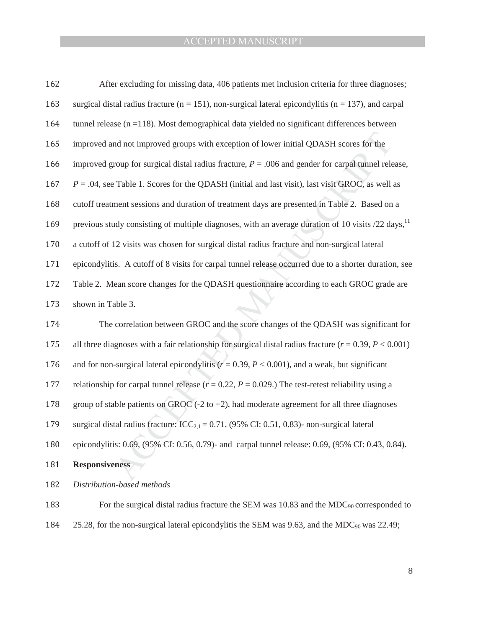| 162 | After excluding for missing data, 406 patients met inclusion criteria for three diagnoses;                     |
|-----|----------------------------------------------------------------------------------------------------------------|
| 163 | surgical distal radius fracture ( $n = 151$ ), non-surgical lateral epicondylitis ( $n = 137$ ), and carpal    |
| 164 | tunnel release ( $n = 118$ ). Most demographical data yielded no significant differences between               |
| 165 | improved and not improved groups with exception of lower initial QDASH scores for the                          |
| 166 | improved group for surgical distal radius fracture, $P = 0.006$ and gender for carpal tunnel release,          |
| 167 | $P = 0.04$ , see Table 1. Scores for the QDASH (initial and last visit), last visit GROC, as well as           |
| 168 | cutoff treatment sessions and duration of treatment days are presented in Table 2. Based on a                  |
| 169 | previous study consisting of multiple diagnoses, with an average duration of 10 visits /22 days, <sup>11</sup> |
| 170 | a cutoff of 12 visits was chosen for surgical distal radius fracture and non-surgical lateral                  |
| 171 | epicondylitis. A cutoff of 8 visits for carpal tunnel release occurred due to a shorter duration, see          |
| 172 | Table 2. Mean score changes for the QDASH questionnaire according to each GROC grade are                       |
| 173 | shown in Table 3.                                                                                              |
| 174 | The correlation between GROC and the score changes of the QDASH was significant for                            |
| 175 | all three diagnoses with a fair relationship for surgical distal radius fracture ( $r = 0.39$ , $P < 0.001$ )  |
| 176 | and for non-surgical lateral epicondylitis ( $r = 0.39$ , $P < 0.001$ ), and a weak, but significant           |
| 177 | relationship for carpal tunnel release ( $r = 0.22$ , $P = 0.029$ .) The test-retest reliability using a       |
| 178 | group of stable patients on GROC $(-2 \text{ to } +2)$ , had moderate agreement for all three diagnoses        |
| 179 | surgical distal radius fracture: $\text{ICC}_{2,1} = 0.71$ , (95% CI: 0.51, 0.83)- non-surgical lateral        |
| 180 | epicondylitis: 0.69, (95% CI: 0.56, 0.79)- and carpal tunnel release: 0.69, (95% CI: 0.43, 0.84).              |
| 181 | <b>Responsiveness</b>                                                                                          |
| 182 | Distribution-based methods                                                                                     |
| 183 | For the surgical distal radius fracture the SEM was 10.83 and the $MDC_{90}$ corresponded to                   |

184 25.28, for the non-surgical lateral epicondylitis the SEM was 9.63, and the MDC<sub>90</sub> was 22.49;

 $\, 8$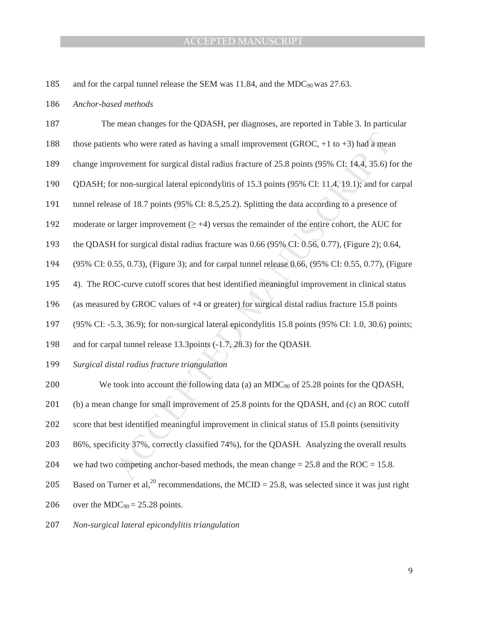185 and for the carpal tunnel release the SEM was 11.84, and the MDC<sub>90</sub> was 27.63.

186 Anchor-based methods

| 187 | The mean changes for the QDASH, per diagnoses, are reported in Table 3. In particular                       |
|-----|-------------------------------------------------------------------------------------------------------------|
| 188 | those patients who were rated as having a small improvement (GROC, $+1$ to $+3$ ) had a mean                |
| 189 | change improvement for surgical distal radius fracture of $25.8$ points (95% CI: 14.4, 35.6) for the        |
| 190 | QDASH; for non-surgical lateral epicondylitis of 15.3 points (95% CI: 11.4, 19.1); and for carpal           |
| 191 | tunnel release of 18.7 points (95% CI: 8.5,25.2). Splitting the data according to a presence of             |
| 192 | moderate or larger improvement $(\geq +4)$ versus the remainder of the entire cohort, the AUC for           |
| 193 | the QDASH for surgical distal radius fracture was 0.66 (95% CI: 0.56, 0.77), (Figure 2); 0.64,              |
| 194 | (95% CI: 0.55, 0.73), (Figure 3); and for carpal tunnel release 0.66, (95% CI: 0.55, 0.77), (Figure         |
| 195 | 4). The ROC-curve cutoff scores that best identified meaningful improvement in clinical status              |
| 196 | (as measured by GROC values of $+4$ or greater) for surgical distal radius fracture 15.8 points             |
| 197 | (95% CI: -5.3, 36.9); for non-surgical lateral epicondylitis 15.8 points (95% CI: 1.0, 30.6) points;        |
| 198 | and for carpal tunnel release 13.3 points (-1.7, 28.3) for the QDASH.                                       |
| 199 | Surgical distal radius fracture triangulation                                                               |
| 200 | We took into account the following data (a) an $MDC_{90}$ of 25.28 points for the QDASH,                    |
| 201 | (b) a mean change for small improvement of 25.8 points for the QDASH, and (c) an ROC cutoff                 |
| 202 | score that best identified meaningful improvement in clinical status of 15.8 points (sensitivity            |
| 203 | 86%, specificity 37%, correctly classified 74%), for the QDASH. Analyzing the overall results               |
| 204 | we had two competing anchor-based methods, the mean change $= 25.8$ and the ROC $= 15.8$ .                  |
| 205 | Based on Turner et al, <sup>20</sup> recommendations, the MCID = 25.8, was selected since it was just right |
| 206 | over the MDC <sub>90</sub> = 25.28 points.                                                                  |
| 207 | Non-surgical lateral epicondylitis triangulation                                                            |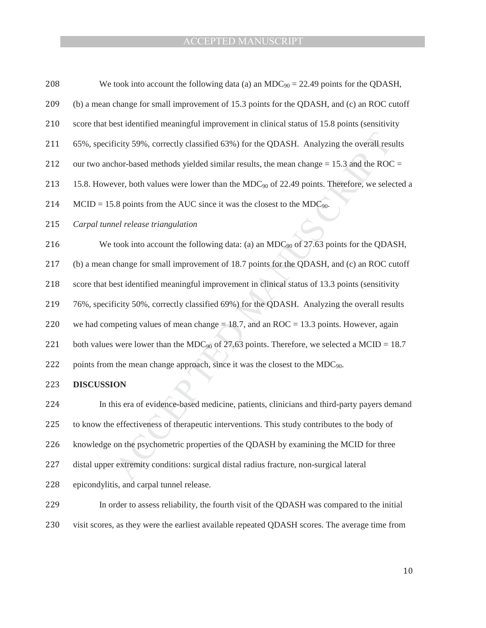| 208 | We took into account the following data (a) an $MDC_{90} = 22.49$ points for the QDASH,                 |
|-----|---------------------------------------------------------------------------------------------------------|
| 209 | (b) a mean change for small improvement of 15.3 points for the QDASH, and (c) an ROC cutoff             |
| 210 | score that best identified meaningful improvement in clinical status of 15.8 points (sensitivity        |
| 211 | 65%, specificity 59%, correctly classified 63%) for the QDASH. Analyzing the overall results            |
| 212 | our two anchor-based methods yielded similar results, the mean change $= 15.3$ and the ROC $=$          |
| 213 | 15.8. However, both values were lower than the MDC $_{90}$ of 22.49 points. Therefore, we selected a    |
| 214 | $MCID = 15.8$ points from the AUC since it was the closest to the MDC <sub>90</sub> .                   |
| 215 | Carpal tunnel release triangulation                                                                     |
| 216 | We took into account the following data: (a) an $MDC_{90}$ of 27.63 points for the QDASH,               |
| 217 | (b) a mean change for small improvement of 18.7 points for the QDASH, and (c) an ROC cutoff             |
| 218 | score that best identified meaningful improvement in clinical status of 13.3 points (sensitivity        |
| 219 | 76%, specificity 50%, correctly classified 69%) for the QDASH. Analyzing the overall results            |
| 220 | we had competing values of mean change = $18.7$ , and an ROC = $13.3$ points. However, again            |
| 221 | both values were lower than the MDC <sub>90</sub> of 27.63 points. Therefore, we selected a MCID = 18.7 |
| 222 | points from the mean change approach, since it was the closest to the MDC <sub>90</sub> .               |
| 223 | <b>DISCUSSION</b>                                                                                       |
| 224 | In this era of evidence-based medicine, patients, clinicians and third-party payers demand              |
| 225 | to know the effectiveness of therapeutic interventions. This study contributes to the body of           |
| 226 | knowledge on the psychometric properties of the QDASH by examining the MCID for three                   |
| 227 | distal upper extremity conditions: surgical distal radius fracture, non-surgical lateral                |
| 228 | epicondylitis, and carpal tunnel release.                                                               |
| 229 | In order to assess reliability, the fourth visit of the QDASH was compared to the initial               |

230 visit scores, as they were the earliest available repeated QDASH scores. The average time from

 $10\,$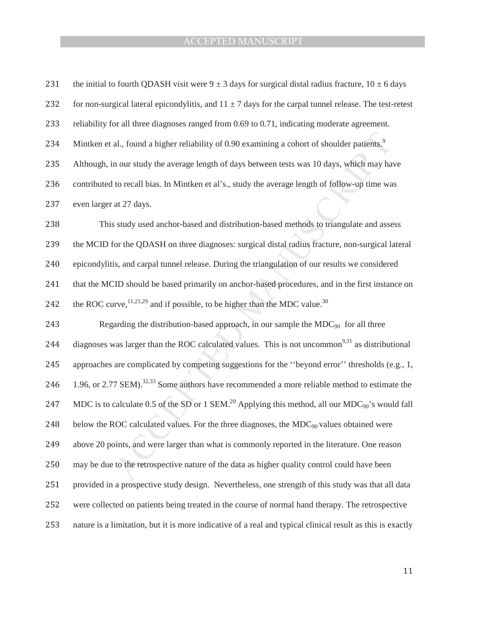| 231 | the initial to fourth QDASH visit were $9 \pm 3$ days for surgical distal radius fracture, $10 \pm 6$ days              |
|-----|-------------------------------------------------------------------------------------------------------------------------|
| 232 | for non-surgical lateral epicondylitis, and $11 \pm 7$ days for the carpal tunnel release. The test-retest              |
| 233 | reliability for all three diagnoses ranged from 0.69 to 0.71, indicating moderate agreement.                            |
| 234 | Mintken et al., found a higher reliability of 0.90 examining a cohort of shoulder patients.                             |
| 235 | Although, in our study the average length of days between tests was 10 days, which may have                             |
| 236 | contributed to recall bias. In Mintken et al's., study the average length of follow-up time was                         |
| 237 | even larger at 27 days.                                                                                                 |
| 238 | This study used anchor-based and distribution-based methods to triangulate and assess                                   |
| 239 | the MCID for the QDASH on three diagnoses: surgical distal radius fracture, non-surgical lateral                        |
| 240 | epicondylitis, and carpal tunnel release. During the triangulation of our results we considered                         |
| 241 | that the MCID should be based primarily on anchor-based procedures, and in the first instance on                        |
| 242 | the ROC curve, $^{11,21,29}$ and if possible, to be higher than the MDC value. <sup>30</sup>                            |
| 243 | Regarding the distribution-based approach, in our sample the $MDC_{90}$ for all three                                   |
| 244 | diagnoses was larger than the ROC calculated values. This is not uncommon <sup>9,31</sup> as distributional             |
| 245 | approaches are complicated by competing suggestions for the "beyond error" thresholds (e.g., 1,                         |
| 246 | 1.96, or 2.77 SEM). <sup>32,33</sup> Some authors have recommended a more reliable method to estimate the               |
| 247 | MDC is to calculate 0.5 of the SD or 1 SEM. <sup>20</sup> Applying this method, all our MDC <sub>90</sub> 's would fall |
| 248 | below the ROC calculated values. For the three diagnoses, the $MDC_{90}$ values obtained were                           |
| 249 | above 20 points, and were larger than what is commonly reported in the literature. One reason                           |
| 250 | may be due to the retrospective nature of the data as higher quality control could have been                            |
| 251 | provided in a prospective study design. Nevertheless, one strength of this study was that all data                      |
| 252 | were collected on patients being treated in the course of normal hand therapy. The retrospective                        |
| 253 | nature is a limitation, but it is more indicative of a real and typical clinical result as this is exactly              |

**11**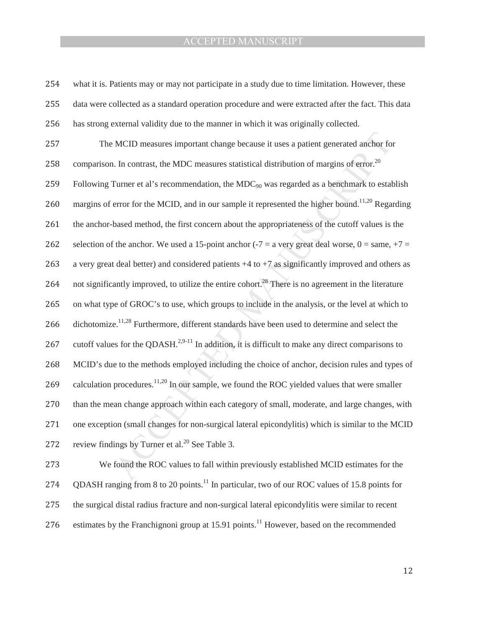254 what it is. Patients may or may not participate in a study due to time limitation. However, these 255 data were collected as a standard operation procedure and were extracted after the fact. This data 256 has strong external validity due to the manner in which it was originally collected.

257 The MCID measures important change because it uses a patient generated anchor for

258 comparison. In contrast, the MDC measures statistical distribution of margins of error.<sup>20</sup>

because it uses a patient generated anchor for<br>atistical distribution of margins of error.<sup>20</sup><br>MDC<sub>90</sub> was regarded as a benchmark to estable it represented the higher bound.<sup>11,20</sup> Regat<br>out the appropriateness of the cu  $e^{11,28}$  Furthermore, different standards<br>
as for the QDASH.<sup>2,9-11</sup> In addition, it i<br>
e to the methods employed including t<br>
procedures.<sup>11,20</sup> In our sample, we four<br>
can change approach within each categ<br>
on (small 259 Following Turner et al's recommendation, the  $MDC_{90}$  was regarded as a benchmark to establish 260 margins of error for the MCID, and in our sample it represented the higher bound.<sup>11,20</sup> Regarding 261 the anchor-based method, the first concern about the appropriateness of the cutoff values is the 262 selection of the anchor. We used a 15-point anchor (-7 = a very great deal worse,  $0 = \text{same}, +7 =$ 263 a very great deal better) and considered patients  $+4$  to  $+7$  as significantly improved and others as 264 not significantly improved, to utilize the entire cohort.<sup>28</sup> There is no agreement in the literature 265 on what type of GROC's to use, which groups to include in the analysis, or the level at which to 266 dichotomize.<sup>11,28</sup> Furthermore, different standards have been used to determine and select the 267 cutoff values for the QDASH.<sup>2,9-11</sup> In addition, it is difficult to make any direct comparisons to 268 MCID's due to the methods employed including the choice of anchor, decision rules and types of 269 calculation procedures.<sup>11,20</sup> In our sample, we found the ROC yielded values that were smaller 270 than the mean change approach within each category of small, moderate, and large changes, with 271 one exception (small changes for non-surgical lateral epicondylitis) which is similar to the MCID 272 review findings by Turner et al.<sup>20</sup> See Table 3.

273 We found the ROC values to fall within previously established MCID estimates for the 274 ODASH ranging from 8 to 20 points.<sup>11</sup> In particular, two of our ROC values of 15.8 points for 275 the surgical distal radius fracture and non-surgical lateral epicondylitis were similar to recent 276 estimates by the Franchignoni group at 15.91 points.<sup>11</sup> However, based on the recommended

12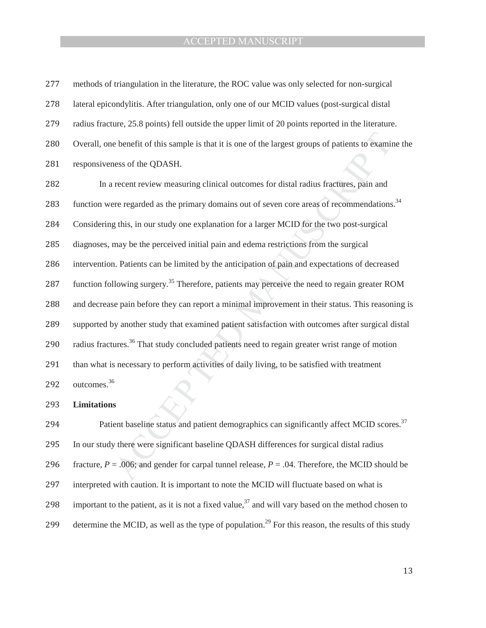| 277 | methods of triangulation in the literature, the ROC value was only selected for non-surgical               |
|-----|------------------------------------------------------------------------------------------------------------|
| 278 | lateral epicondylitis. After triangulation, only one of our MCID values (post-surgical distal              |
| 279 | radius fracture, 25.8 points) fell outside the upper limit of 20 points reported in the literature.        |
| 280 | Overall, one benefit of this sample is that it is one of the largest groups of patients to examine the     |
| 281 | responsiveness of the QDASH.                                                                               |
| 282 | In a recent review measuring clinical outcomes for distal radius fractures, pain and                       |
| 283 | function were regarded as the primary domains out of seven core areas of recommendations. <sup>34</sup>    |
| 284 | Considering this, in our study one explanation for a larger MCID for the two post-surgical                 |
| 285 | diagnoses, may be the perceived initial pain and edema restrictions from the surgical                      |
| 286 | intervention. Patients can be limited by the anticipation of pain and expectations of decreased            |
| 287 | function following surgery. <sup>35</sup> Therefore, patients may perceive the need to regain greater ROM  |
| 288 | and decrease pain before they can report a minimal improvement in their status. This reasoning is          |
| 289 | supported by another study that examined patient satisfaction with outcomes after surgical distal          |
| 290 | radius fractures. <sup>36</sup> That study concluded patients need to regain greater wrist range of motion |
| 291 | than what is necessary to perform activities of daily living, to be satisfied with treatment               |
| 292 | outcomes. <sup>36</sup>                                                                                    |
| 293 | <b>Limitations</b>                                                                                         |
| 294 | Patient baseline status and patient demographics can significantly affect MCID scores. <sup>37</sup>       |
| 295 | In our study there were significant baseline QDASH differences for surgical distal radius                  |
| 296 | fracture, $P = .006$ ; and gender for carpal tunnel release, $P = .04$ . Therefore, the MCID should be     |
|     |                                                                                                            |

- 297 interpreted with caution. It is important to note the MCID will fluctuate based on what is
- 298 important to the patient, as it is not a fixed value, $37$  and will vary based on the method chosen to
- 299 determine the MCID, as well as the type of population.<sup>29</sup> For this reason, the results of this study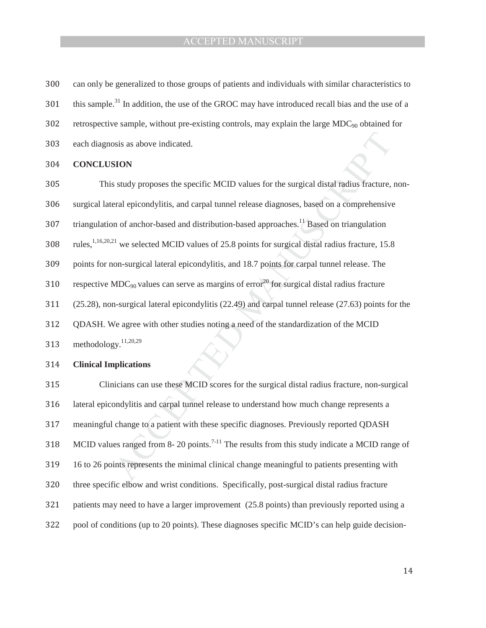- 300 can only be generalized to those groups of patients and individuals with similar characteristics to
- 301 this sample.<sup>31</sup> In addition, the use of the GROC may have introduced recall bias and the use of a
- 302 retrospective sample, without pre-existing controls, may explain the large  $MDC_{90}$  obtained for
- 303 each diagnosis as above indicated.

#### **304 CONCLUSION**

- This study proposes the specific MCID values for the surgical distal radius fracture, non-
- ͵Ͳ surgical lateral epicondylitis, and carpal tunnel release diagnoses, based on a comprehensive
- triangulation of anchor-based and distribution-based approaches.<sup>11</sup> Based on triangulation
- values for the surgical distal radius fracture,<br>I release diagnoses, based on a comprehensive<br>based approaches.<sup>11</sup> Based on triangulation<br>i points for surgical distal radius fracture, 15.8<br>d 18.7 points for carpal tunnel  $1,16,20,21$  we selected MCID values of 25.8 points for surgical distal radius fracture, 15.8
- 309 points for non-surgical lateral epicondylitis, and 18.7 points for carpal tunnel release. The
- 310 respective MDC<sub>90</sub> values can serve as margins of error<sup>20</sup> for surgical distal radius fracture
- 311 (25.28), non-surgical lateral epicondylitis (22.49) and carpal tunnel release (27.63) points for the
- 312 ODASH. We agree with other studies noting a need of the standardization of the MCID
- 313 methodology. $11,20,29$

#### 314 **Clinical Implications**

Ve agree with other studies noting a nearly  $^{11,20,29}$ <br> **nplications**<br>
icians can use these MCID scores for<br>
ondylitis and carpal tunnel release to u<br>
change to a patient with these specific<br>
es ranged from 8- 20 points ͵ͳͷ Clinicians can use these MCID scores for the surgical distal radius fracture, non-surgical 316 lateral epicondylitis and carpal tunnel release to understand how much change represents a 317 meaningful change to a patient with these specific diagnoses. Previously reported QDASH 318 MCID values ranged from 8- 20 points.<sup>7-11</sup> The results from this study indicate a MCID range of ͵ͳͻ 16 to 26 points represents the minimal clinical change meaningful to patients presenting with 320 three specific elbow and wrist conditions. Specifically, post-surgical distal radius fracture 321 patients may need to have a larger improvement (25.8 points) than previously reported using a 322 pool of conditions (up to 20 points). These diagnoses specific MCID's can help guide decision-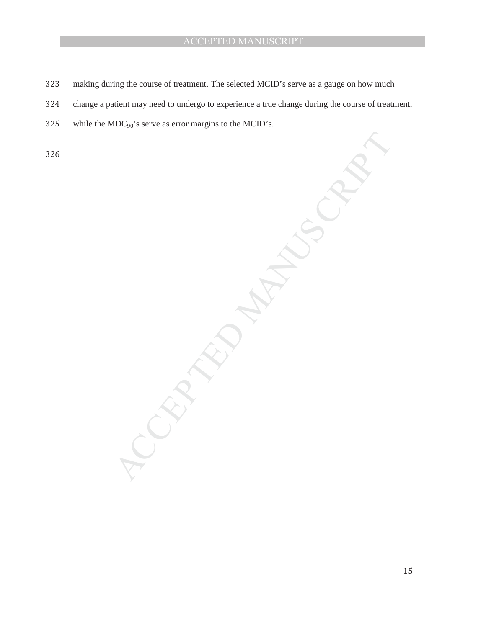- 323 making during the course of treatment. The selected MCID's serve as a gauge on how much
- 324 change a patient may need to undergo to experience a true change during the course of treatment,
- 325 while the  $MDC_{90}$ 's serve as error margins to the MCID's.

͵ʹ

MANUSCRIPT ACCEPTED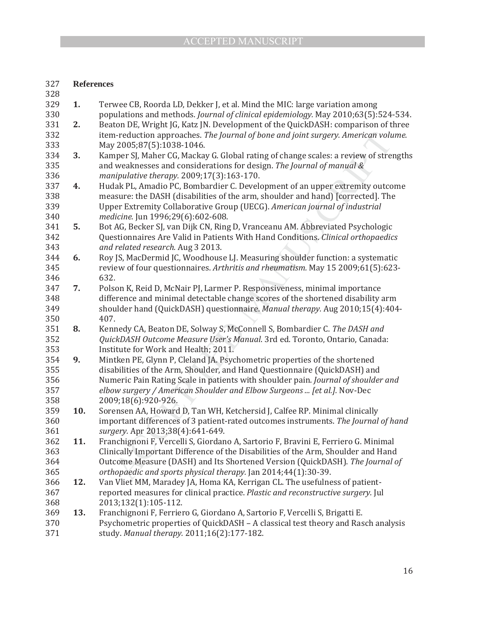### ͵ʹ **References**

| 328 |     |                                                                                      |
|-----|-----|--------------------------------------------------------------------------------------|
| 329 | 1.  | Terwee CB, Roorda LD, Dekker J, et al. Mind the MIC: large variation among           |
| 330 |     | populations and methods. Journal of clinical epidemiology. May 2010;63(5):524-534.   |
| 331 | 2.  | Beaton DE, Wright JG, Katz JN. Development of the QuickDASH: comparison of three     |
| 332 |     | item-reduction approaches. The Journal of bone and joint surgery. American volume.   |
| 333 |     | May 2005;87(5):1038-1046.                                                            |
| 334 | 3.  | Kamper SJ, Maher CG, Mackay G. Global rating of change scales: a review of strengths |
| 335 |     | and weaknesses and considerations for design. The Journal of manual &                |
| 336 |     | manipulative therapy. 2009;17(3):163-170.                                            |
| 337 | 4.  | Hudak PL, Amadio PC, Bombardier C. Development of an upper extremity outcome         |
| 338 |     | measure: the DASH (disabilities of the arm, shoulder and hand) [corrected]. The      |
| 339 |     | Upper Extremity Collaborative Group (UECG). American journal of industrial           |
| 340 |     | medicine. Jun 1996;29(6):602-608.                                                    |
| 341 | 5.  | Bot AG, Becker SJ, van Dijk CN, Ring D, Vranceanu AM. Abbreviated Psychologic        |
| 342 |     | Questionnaires Are Valid in Patients With Hand Conditions. Clinical orthopaedics     |
| 343 |     | and related research. Aug 3 2013.                                                    |
| 344 | 6.  | Roy JS, MacDermid JC, Woodhouse LJ. Measuring shoulder function: a systematic        |
| 345 |     | review of four questionnaires. Arthritis and rheumatism. May 15 2009;61(5):623-      |
| 346 |     | 632.                                                                                 |
| 347 | 7.  | Polson K, Reid D, McNair PJ, Larmer P. Responsiveness, minimal importance            |
| 348 |     | difference and minimal detectable change scores of the shortened disability arm      |
| 349 |     | shoulder hand (QuickDASH) questionnaire. Manual therapy. Aug 2010;15(4):404-         |
| 350 |     | 407.                                                                                 |
| 351 | 8.  | Kennedy CA, Beaton DE, Solway S, McConnell S, Bombardier C. The DASH and             |
| 352 |     | QuickDASH Outcome Measure User's Manual. 3rd ed. Toronto, Ontario, Canada:           |
| 353 |     | Institute for Work and Health; 2011.                                                 |
| 354 | 9.  | Mintken PE, Glynn P, Cleland JA. Psychometric properties of the shortened            |
| 355 |     | disabilities of the Arm, Shoulder, and Hand Questionnaire (QuickDASH) and            |
| 356 |     | Numeric Pain Rating Scale in patients with shoulder pain. Journal of shoulder and    |
| 357 |     | elbow surgery / American Shoulder and Elbow Surgeons  [et al.]. Nov-Dec              |
| 358 |     | 2009;18(6):920-926.                                                                  |
| 359 | 10. | Sorensen AA, Howard D, Tan WH, Ketchersid J, Calfee RP. Minimal clinically           |
| 360 |     | important differences of 3 patient-rated outcomes instruments. The Journal of hand   |
| 361 |     | surgery. Apr 2013;38(4):641-649.                                                     |
| 362 | 11. | Franchignoni F, Vercelli S, Giordano A, Sartorio F, Bravini E, Ferriero G. Minimal   |
| 363 |     | Clinically Important Difference of the Disabilities of the Arm, Shoulder and Hand    |
| 364 |     | Outcome Measure (DASH) and Its Shortened Version (QuickDASH). The Journal of         |
| 365 |     | orthopaedic and sports physical therapy. Jan 2014;44(1):30-39.                       |
| 366 | 12. | Van Vliet MM, Maradey JA, Homa KA, Kerrigan CL. The usefulness of patient-           |
| 367 |     | reported measures for clinical practice. Plastic and reconstructive surgery. Jul     |
| 368 |     | 2013;132(1):105-112.                                                                 |
| 369 | 13. | Franchignoni F, Ferriero G, Giordano A, Sartorio F, Vercelli S, Brigatti E.          |
| 370 |     | Psychometric properties of QuickDASH - A classical test theory and Rasch analysis    |
| 371 |     | study. Manual therapy. 2011;16(2):177-182.                                           |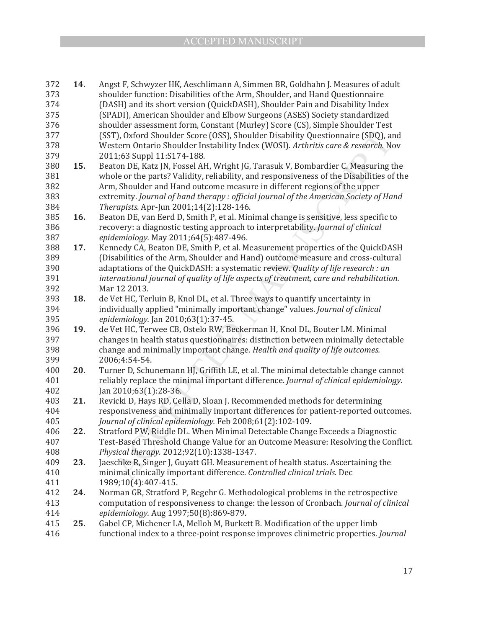| 372 | 14. | Angst F, Schwyzer HK, Aeschlimann A, Simmen BR, Goldhahn J. Measures of adult            |
|-----|-----|------------------------------------------------------------------------------------------|
| 373 |     | shoulder function: Disabilities of the Arm, Shoulder, and Hand Questionnaire             |
| 374 |     | (DASH) and its short version (QuickDASH), Shoulder Pain and Disability Index             |
| 375 |     | (SPADI), American Shoulder and Elbow Surgeons (ASES) Society standardized                |
| 376 |     | shoulder assessment form, Constant (Murley) Score (CS), Simple Shoulder Test             |
| 377 |     | (SST), Oxford Shoulder Score (OSS), Shoulder Disability Questionnaire (SDQ), and         |
| 378 |     | Western Ontario Shoulder Instability Index (WOSI). Arthritis care & research. Nov        |
| 379 |     | 2011;63 Suppl 11:S174-188.                                                               |
| 380 | 15. | Beaton DE, Katz JN, Fossel AH, Wright JG, Tarasuk V, Bombardier C. Measuring the         |
| 381 |     | whole or the parts? Validity, reliability, and responsiveness of the Disabilities of the |
| 382 |     | Arm, Shoulder and Hand outcome measure in different regions of the upper                 |
| 383 |     | extremity. Journal of hand therapy: official journal of the American Society of Hand     |
| 384 |     | Therapists. Apr-Jun 2001;14(2):128-146.                                                  |
| 385 | 16. | Beaton DE, van Eerd D, Smith P, et al. Minimal change is sensitive, less specific to     |
| 386 |     | recovery: a diagnostic testing approach to interpretability. Journal of clinical         |
| 387 |     | epidemiology. May 2011;64(5):487-496.                                                    |
| 388 | 17. | Kennedy CA, Beaton DE, Smith P, et al. Measurement properties of the QuickDASH           |
| 389 |     | (Disabilities of the Arm, Shoulder and Hand) outcome measure and cross-cultural          |
| 390 |     | adaptations of the QuickDASH: a systematic review. Quality of life research : an         |
| 391 |     | international journal of quality of life aspects of treatment, care and rehabilitation.  |
| 392 |     | Mar 12 2013.                                                                             |
| 393 | 18. | de Vet HC, Terluin B, Knol DL, et al. Three ways to quantify uncertainty in              |
| 394 |     | individually applied "minimally important change" values. Journal of clinical            |
| 395 |     | epidemiology. Jan 2010;63(1):37-45.                                                      |
| 396 | 19. | de Vet HC, Terwee CB, Ostelo RW, Beckerman H, Knol DL, Bouter LM. Minimal                |
| 397 |     | changes in health status questionnaires: distinction between minimally detectable        |
| 398 |     | change and minimally important change. Health and quality of life outcomes.              |
| 399 |     | 2006;4:54-54.                                                                            |
| 400 | 20. | Turner D, Schunemann HJ, Griffith LE, et al. The minimal detectable change cannot        |
| 401 |     | reliably replace the minimal important difference. Journal of clinical epidemiology.     |
| 402 |     | Jan 2010;63(1):28-36.                                                                    |
| 403 | 21. | Revicki D, Hays RD, Cella D, Sloan J. Recommended methods for determining                |
| 404 |     | responsiveness and minimally important differences for patient-reported outcomes.        |
| 405 |     | Journal of clinical epidemiology. Feb 2008;61(2):102-109.                                |
| 406 | 22. | Stratford PW, Riddle DL. When Minimal Detectable Change Exceeds a Diagnostic             |
| 407 |     | Test-Based Threshold Change Value for an Outcome Measure: Resolving the Conflict.        |
| 408 |     | Physical therapy. 2012;92(10):1338-1347.                                                 |
| 409 | 23. | Jaeschke R, Singer J, Guyatt GH. Measurement of health status. Ascertaining the          |
| 410 |     | minimal clinically important difference. Controlled clinical trials. Dec                 |
| 411 |     | 1989;10(4):407-415.                                                                      |
| 412 | 24. | Norman GR, Stratford P, Regehr G. Methodological problems in the retrospective           |
| 413 |     | computation of responsiveness to change: the lesson of Cronbach. Journal of clinical     |
| 414 |     | epidemiology. Aug 1997;50(8):869-879.                                                    |
| 415 | 25. | Gabel CP, Michener LA, Melloh M, Burkett B. Modification of the upper limb               |
| 416 |     | functional index to a three-point response improves clinimetric properties. Journal      |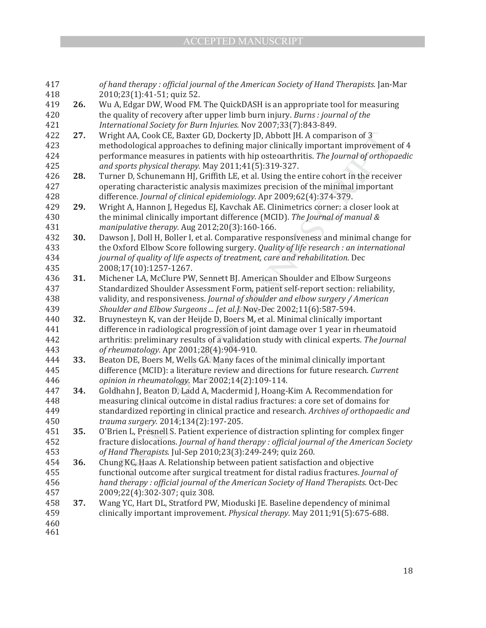| 417        |     | of hand therapy: official journal of the American Society of Hand Therapists. Jan-Mar                                                                            |
|------------|-----|------------------------------------------------------------------------------------------------------------------------------------------------------------------|
| 418        |     | 2010;23(1):41-51; quiz 52.                                                                                                                                       |
| 419        | 26. | Wu A, Edgar DW, Wood FM. The QuickDASH is an appropriate tool for measuring                                                                                      |
| 420        |     | the quality of recovery after upper limb burn injury. Burns : journal of the                                                                                     |
| 421        |     | International Society for Burn Injuries. Nov 2007;33(7):843-849.                                                                                                 |
| 422        | 27. | Wright AA, Cook CE, Baxter GD, Dockerty JD, Abbott JH. A comparison of 3                                                                                         |
| 423        |     | methodological approaches to defining major clinically important improvement of 4                                                                                |
| 424        |     | performance measures in patients with hip osteoarthritis. The Journal of orthopaedic                                                                             |
| 425        |     | and sports physical therapy. May 2011;41(5):319-327.                                                                                                             |
| 426        | 28. | Turner D, Schunemann HJ, Griffith LE, et al. Using the entire cohort in the receiver                                                                             |
| 427        |     | operating characteristic analysis maximizes precision of the minimal important                                                                                   |
| 428        |     | difference. Journal of clinical epidemiology. Apr 2009;62(4):374-379.                                                                                            |
| 429        | 29. | Wright A, Hannon J, Hegedus EJ, Kavchak AE. Clinimetrics corner: a closer look at                                                                                |
| 430        |     | the minimal clinically important difference (MCID). The Journal of manual &                                                                                      |
| 431        |     | manipulative therapy. Aug 2012;20(3):160-166.                                                                                                                    |
| 432        | 30. | Dawson J, Doll H, Boller I, et al. Comparative responsiveness and minimal change for                                                                             |
| 433        |     | the Oxford Elbow Score following surgery. Quality of life research : an international                                                                            |
| 434        |     | journal of quality of life aspects of treatment, care and rehabilitation. Dec                                                                                    |
| 435        |     | 2008;17(10):1257-1267.                                                                                                                                           |
| 436        | 31. | Michener LA, McClure PW, Sennett BJ. American Shoulder and Elbow Surgeons                                                                                        |
| 437        |     | Standardized Shoulder Assessment Form, patient self-report section: reliability,                                                                                 |
| 438        |     | validity, and responsiveness. Journal of shoulder and elbow surgery / American                                                                                   |
| 439        |     | Shoulder and Elbow Surgeons  [et al.]. Nov-Dec 2002;11(6):587-594.                                                                                               |
| 440        | 32. | Bruynesteyn K, van der Heijde D, Boers M, et al. Minimal clinically important                                                                                    |
| 441        |     | difference in radiological progression of joint damage over 1 year in rheumatoid                                                                                 |
| 442        |     | arthritis: preliminary results of a validation study with clinical experts. The Journal                                                                          |
| 443        |     | of rheumatology. Apr 2001;28(4):904-910.                                                                                                                         |
| 444        | 33. | Beaton DE, Boers M, Wells GA. Many faces of the minimal clinically important                                                                                     |
| 445        |     | difference (MCID): a literature review and directions for future research. Current                                                                               |
| 446        |     | opinion in rheumatology. Mar 2002;14(2):109-114.                                                                                                                 |
| 447        | 34. | Goldhahn J, Beaton D, Ladd A, Macdermid J, Hoang-Kim A. Recommendation for                                                                                       |
| 448        |     | measuring clinical outcome in distal radius fractures: a core set of domains for                                                                                 |
| 449        |     | standardized reporting in clinical practice and research. Archives of orthopaedic and                                                                            |
| 450        |     | trauma surgery. 2014;134(2):197-205.                                                                                                                             |
| 451        | 35. | O'Brien L, Presnell S. Patient experience of distraction splinting for complex finger                                                                            |
| 452<br>453 |     | fracture dislocations. Journal of hand therapy : official journal of the American Society<br>of Hand Therapists. Jul-Sep 2010;23(3):249-249; quiz 260.           |
| 454        | 36. |                                                                                                                                                                  |
|            |     | Chung KC, Haas A. Relationship between patient satisfaction and objective<br>functional outcome after surgical treatment for distal radius fractures. Journal of |
|            |     | hand therapy: official journal of the American Society of Hand Therapists. Oct-Dec                                                                               |
| 455        |     |                                                                                                                                                                  |
| 456        |     |                                                                                                                                                                  |
| 457        |     | 2009;22(4):302-307; quiz 308.                                                                                                                                    |
| 458        | 37. | Wang YC, Hart DL, Stratford PW, Mioduski JE. Baseline dependency of minimal                                                                                      |
| 459<br>460 |     | clinically important improvement. Physical therapy. May 2011;91(5):675-688.                                                                                      |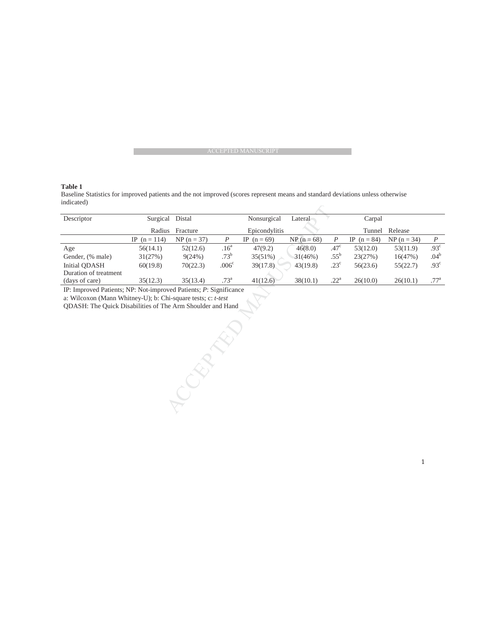#### **Table 1**

Baseline Statistics for improved patients and the not improved (scores represent means and standard deviations unless otherwise indicated)

**RECEPTED** 

| Descriptor                                                        | Surgical       | Distal                    |                   | Nonsurgical   | Lateral       |                  | Carpal        |               |                  |
|-------------------------------------------------------------------|----------------|---------------------------|-------------------|---------------|---------------|------------------|---------------|---------------|------------------|
|                                                                   | Radius         | Epicondylitis<br>Fracture |                   |               | Tunnel        | Release          |               |               |                  |
|                                                                   | IP $(n = 114)$ | $NP (n = 37)$             | $\boldsymbol{P}$  | IP $(n = 69)$ | $NP (n = 68)$ | P                | IP $(n = 84)$ | $NP (n = 34)$ | $\boldsymbol{P}$ |
| Age                                                               | 56(14.1)       | 52(12.6)                  | .16 <sup>a</sup>  | 47(9.2)       | 46(8.0)       | .47 <sup>c</sup> | 53(12.0)      | 53(11.9)      | .93 <sup>c</sup> |
| Gender, (% male)                                                  | 31(27%)        | 9(24%)                    | .73 <sup>b</sup>  | $35(51\%)$    | 31(46%)       | $.55^{\rm b}$    | 23(27%)       | 16(47%)       | .04 <sup>b</sup> |
| Initial ODASH                                                     | 60(19.8)       | 70(22.3)                  | .006 <sup>c</sup> | 39(17.8)      | 43(19.8)      | $.23^{\circ}$    | 56(23.6)      | 55(22.7)      | .93 <sup>c</sup> |
| Duration of treatment                                             |                |                           |                   |               |               |                  |               |               |                  |
| (days of care)                                                    | 35(12.3)       | 35(13.4)                  | .73 <sup>a</sup>  | 41(12.6)      | 38(10.1)      | .22 <sup>a</sup> | 26(10.0)      | 26(10.1)      | .77 <sup>a</sup> |
| IP: Improved Patients; NP: Not-improved Patients; P: Significance |                |                           |                   |               |               |                  |               |               |                  |
| a: Wilcoxon (Mann Whitney-U); b: Chi-square tests; c: t-test      |                |                           |                   |               |               |                  |               |               |                  |
| <b>ODASH:</b> The Quick Disabilities of The Arm Shoulder and Hand |                |                           |                   |               |               |                  |               |               |                  |
|                                                                   |                |                           |                   |               |               |                  |               |               |                  |
|                                                                   |                |                           |                   |               |               |                  |               |               |                  |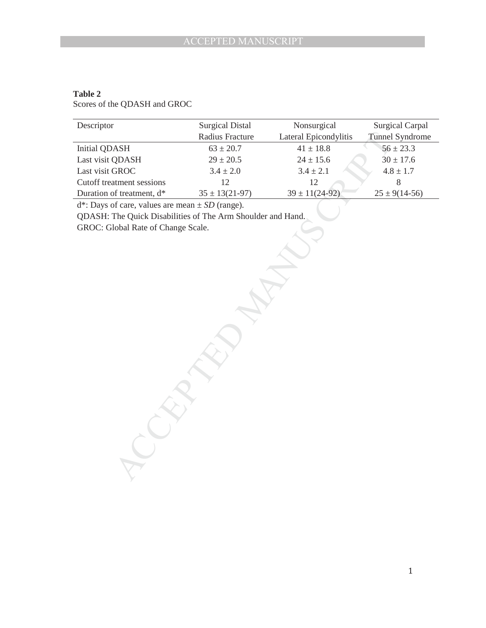### **Table 2**

Scores of the QDASH and GROC

| Descriptor                                                  | <b>Surgical Distal</b> | Nonsurgical           | <b>Surgical Carpal</b> |  |  |  |  |  |
|-------------------------------------------------------------|------------------------|-----------------------|------------------------|--|--|--|--|--|
|                                                             | Radius Fracture        | Lateral Epicondylitis | <b>Tunnel Syndrome</b> |  |  |  |  |  |
| Initial QDASH                                               | $63 \pm 20.7$          | $41 \pm 18.8$         | $56 \pm 23.3$          |  |  |  |  |  |
| Last visit QDASH                                            | $29 \pm 20.5$          | $24 \pm 15.6$         | $30 \pm 17.6$          |  |  |  |  |  |
| Last visit GROC                                             | $3.4 \pm 2.0$          | $3.4 \pm 2.1$         | $4.8 \pm 1.7$          |  |  |  |  |  |
| Cutoff treatment sessions                                   | 12                     | 12                    | 8                      |  |  |  |  |  |
| Duration of treatment, d*                                   | $35 \pm 13(21-97)$     | $39 \pm 11(24-92)$    | $25 \pm 9(14-56)$      |  |  |  |  |  |
| $d^*$ : Days of care, values are mean $\pm SD$ (range).     |                        |                       |                        |  |  |  |  |  |
| QDASH: The Quick Disabilities of The Arm Shoulder and Hand. |                        |                       |                        |  |  |  |  |  |
| GROC: Global Rate of Change Scale.                          |                        |                       |                        |  |  |  |  |  |
|                                                             |                        |                       |                        |  |  |  |  |  |
|                                                             |                        |                       |                        |  |  |  |  |  |
|                                                             |                        |                       |                        |  |  |  |  |  |
|                                                             |                        |                       |                        |  |  |  |  |  |
|                                                             |                        |                       |                        |  |  |  |  |  |
|                                                             |                        |                       |                        |  |  |  |  |  |
|                                                             |                        |                       |                        |  |  |  |  |  |
|                                                             |                        |                       |                        |  |  |  |  |  |

 $A$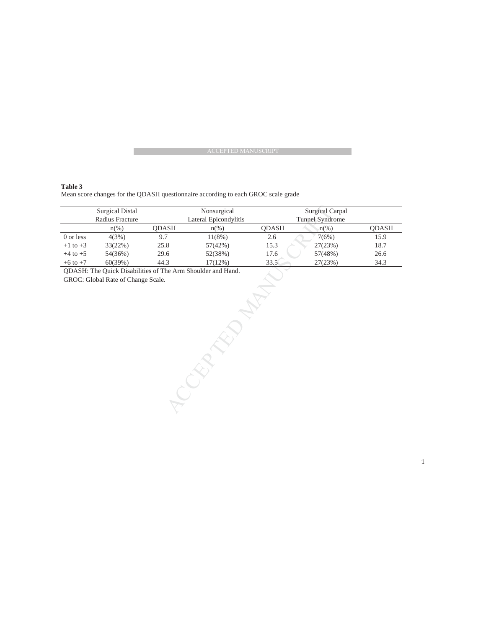**Table 3**  Mean score changes for the QDASH questionnaire according to each GROC scale grade

| <b>Surgical Distal</b>                                             |                    | Nonsurgical  |                       | Surgical Carpal |                 |              |  |  |
|--------------------------------------------------------------------|--------------------|--------------|-----------------------|-----------------|-----------------|--------------|--|--|
| Radius Fracture                                                    |                    |              | Lateral Epicondylitis |                 | Tunnel Syndrome |              |  |  |
|                                                                    | $n\left(\%\right)$ | <b>ODASH</b> | $n(\%)$               | <b>ODASH</b>    | $n(\%)$         | <b>ODASH</b> |  |  |
| 0 or less                                                          | 4(3%)              | 9.7          | 11(8%)                | 2.6             | 7(6%)           | 15.9         |  |  |
| $+1$ to $+3$                                                       | 33(22%)            | 25.8         | 57(42%)               | 15.3            | 27(23%)         | 18.7         |  |  |
| $+4$ to $+5$                                                       | 54(36%)            | 29.6         | 52(38%)               | 17.6            | 57(48%)         | 26.6         |  |  |
| $+6$ to $+7$                                                       | 60(39%)            | 44.3         | 17(12%)               | 33.5            | 27(23%)         | 34.3         |  |  |
| <b>ODASH:</b> The Quick Disabilities of The Arm Shoulder and Hand. |                    |              |                       |                 |                 |              |  |  |
| GROC: Global Rate of Change Scale.                                 |                    |              |                       |                 |                 |              |  |  |
|                                                                    |                    |              |                       |                 |                 |              |  |  |
|                                                                    |                    |              |                       |                 |                 |              |  |  |
|                                                                    |                    |              |                       |                 |                 |              |  |  |
|                                                                    |                    |              |                       |                 |                 |              |  |  |

**ACCEPTED**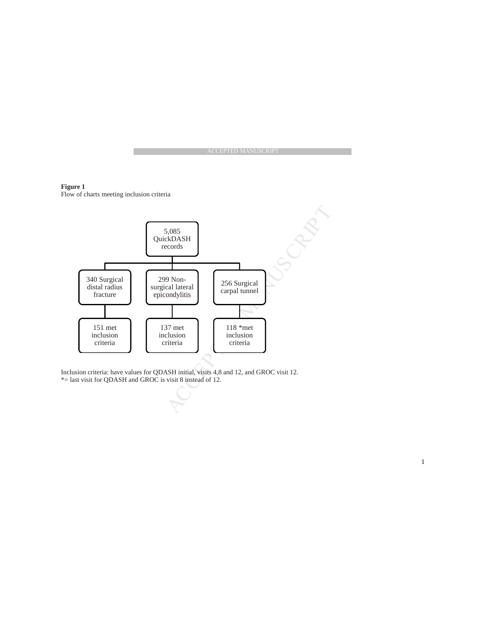**Figure 1**  Flow of charts meeting inclusion criteria



Inclusion criteria: have values for QDASH initial, visits 4,8 and 12, and GROC visit 12. \*= last visit for QDASH and GROC is visit 8 instead of 12.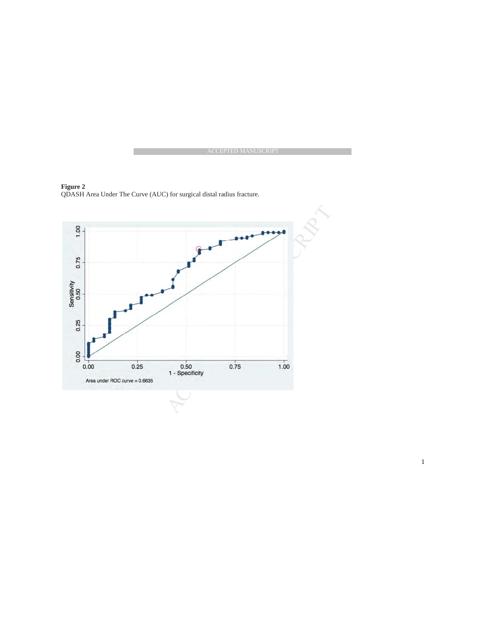

**Figure 2** QDASH Area Under The Curve (AUC) for surgical distal radius fracture.

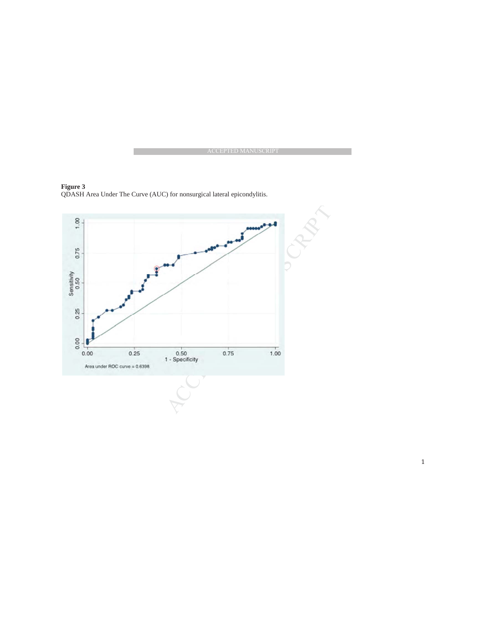

**Figure 3** QDASH Area Under The Curve (AUC) for nonsurgical lateral epicondylitis.



ͳ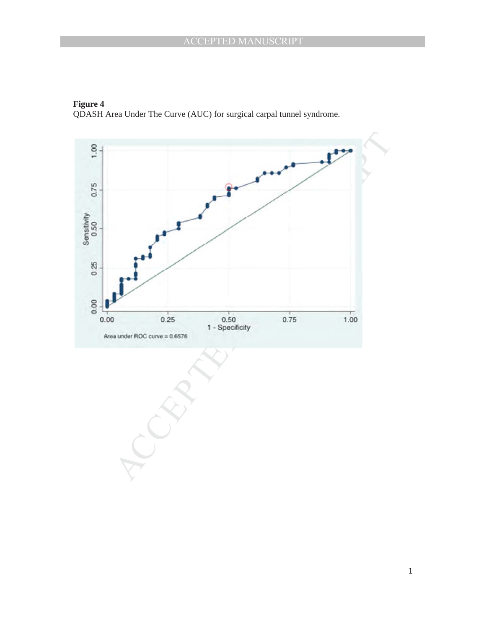

**Figure 4** QDASH Area Under The Curve (AUC) for surgical carpal tunnel syndrome.